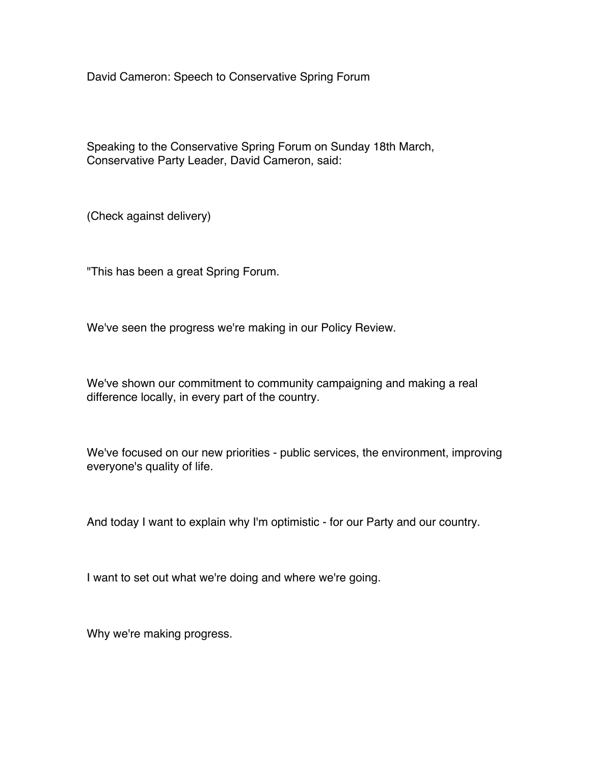David Cameron: Speech to Conservative Spring Forum

Speaking to the Conservative Spring Forum on Sunday 18th March, Conservative Party Leader, David Cameron, said:

(Check against delivery)

"This has been a great Spring Forum.

We've seen the progress we're making in our Policy Review.

We've shown our commitment to community campaigning and making a real difference locally, in every part of the country.

We've focused on our new priorities - public services, the environment, improving everyone's quality of life.

And today I want to explain why I'm optimistic - for our Party and our country.

I want to set out what we're doing and where we're going.

Why we're making progress.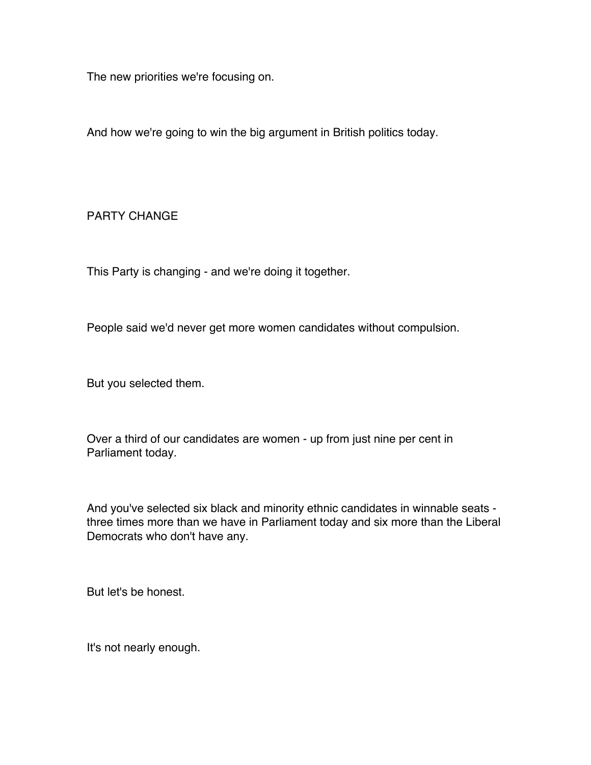The new priorities we're focusing on.

And how we're going to win the big argument in British politics today.

PARTY CHANGE

This Party is changing - and we're doing it together.

People said we'd never get more women candidates without compulsion.

But you selected them.

Over a third of our candidates are women - up from just nine per cent in Parliament today.

And you've selected six black and minority ethnic candidates in winnable seats three times more than we have in Parliament today and six more than the Liberal Democrats who don't have any.

But let's be honest.

It's not nearly enough.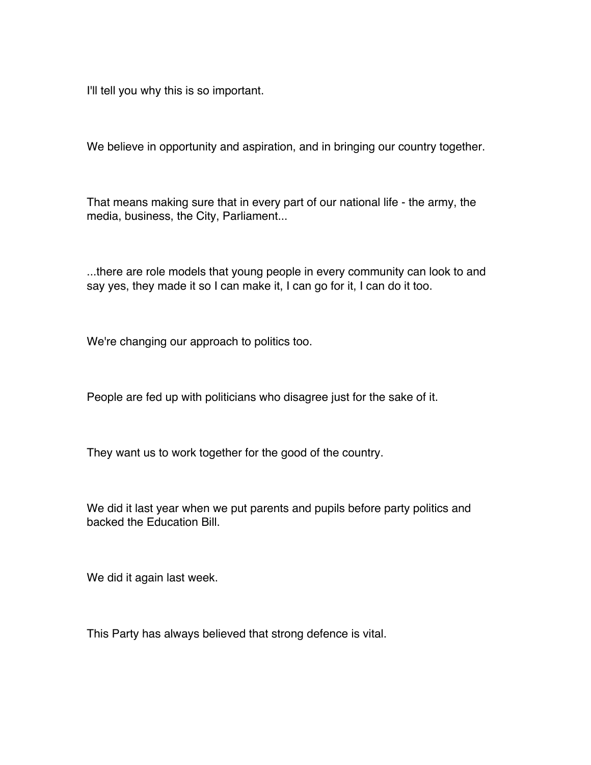I'll tell you why this is so important.

We believe in opportunity and aspiration, and in bringing our country together.

That means making sure that in every part of our national life - the army, the media, business, the City, Parliament...

...there are role models that young people in every community can look to and say yes, they made it so I can make it, I can go for it, I can do it too.

We're changing our approach to politics too.

People are fed up with politicians who disagree just for the sake of it.

They want us to work together for the good of the country.

We did it last year when we put parents and pupils before party politics and backed the Education Bill.

We did it again last week.

This Party has always believed that strong defence is vital.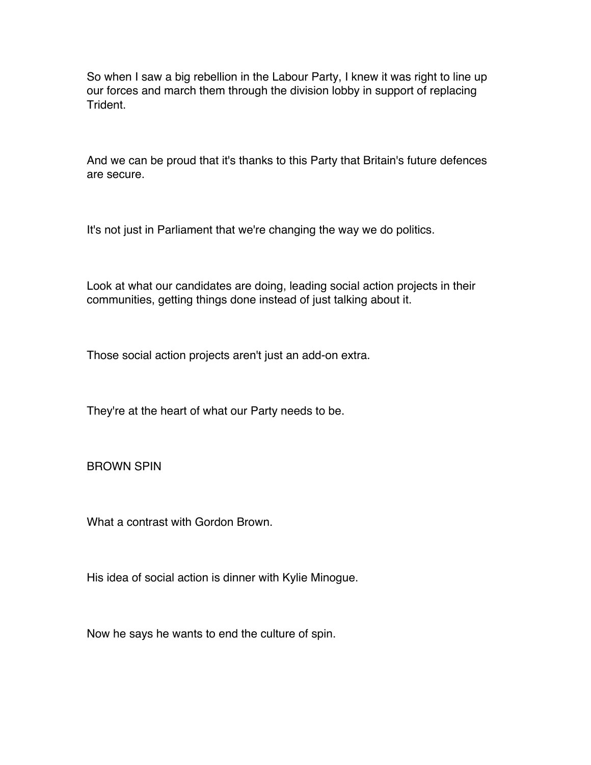So when I saw a big rebellion in the Labour Party, I knew it was right to line up our forces and march them through the division lobby in support of replacing Trident.

And we can be proud that it's thanks to this Party that Britain's future defences are secure.

It's not just in Parliament that we're changing the way we do politics.

Look at what our candidates are doing, leading social action projects in their communities, getting things done instead of just talking about it.

Those social action projects aren't just an add-on extra.

They're at the heart of what our Party needs to be.

BROWN SPIN

What a contrast with Gordon Brown.

His idea of social action is dinner with Kylie Minogue.

Now he says he wants to end the culture of spin.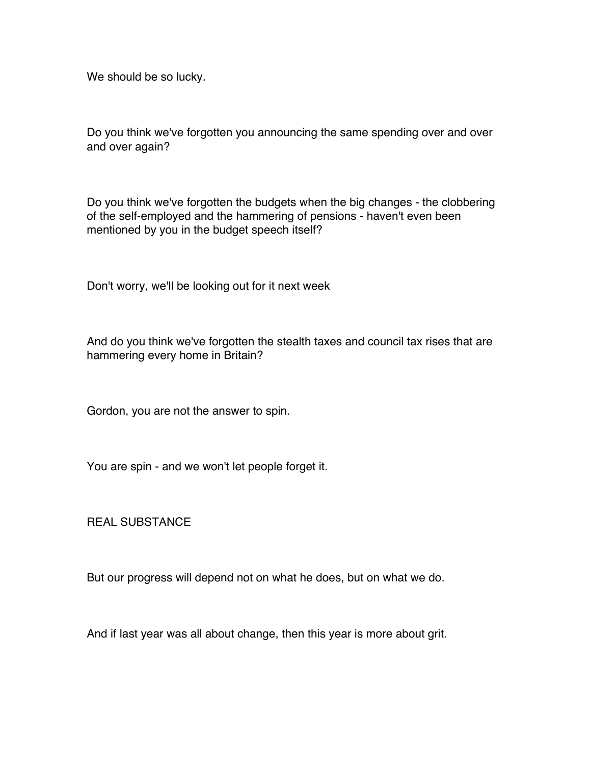We should be so lucky.

Do you think we've forgotten you announcing the same spending over and over and over again?

Do you think we've forgotten the budgets when the big changes - the clobbering of the self-employed and the hammering of pensions - haven't even been mentioned by you in the budget speech itself?

Don't worry, we'll be looking out for it next week

And do you think we've forgotten the stealth taxes and council tax rises that are hammering every home in Britain?

Gordon, you are not the answer to spin.

You are spin - and we won't let people forget it.

REAL SUBSTANCE

But our progress will depend not on what he does, but on what we do.

And if last year was all about change, then this year is more about grit.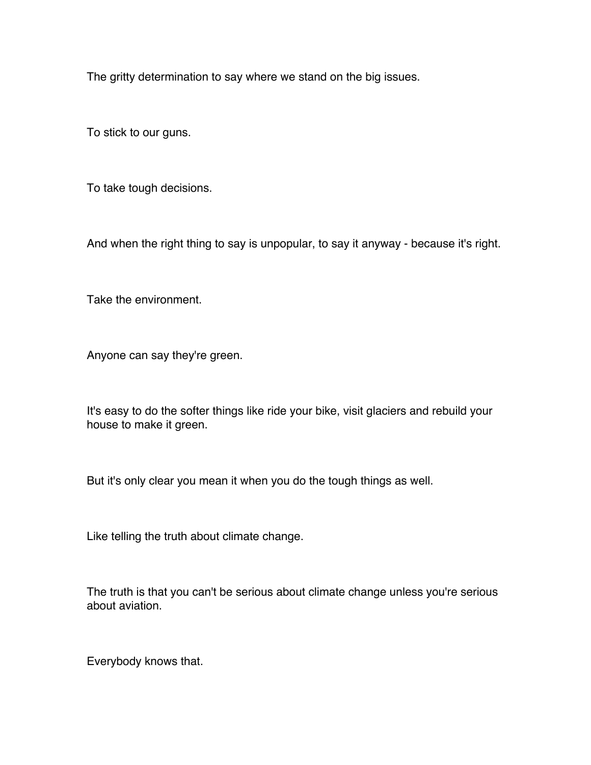The gritty determination to say where we stand on the big issues.

To stick to our guns.

To take tough decisions.

And when the right thing to say is unpopular, to say it anyway - because it's right.

Take the environment.

Anyone can say they're green.

It's easy to do the softer things like ride your bike, visit glaciers and rebuild your house to make it green.

But it's only clear you mean it when you do the tough things as well.

Like telling the truth about climate change.

The truth is that you can't be serious about climate change unless you're serious about aviation.

Everybody knows that.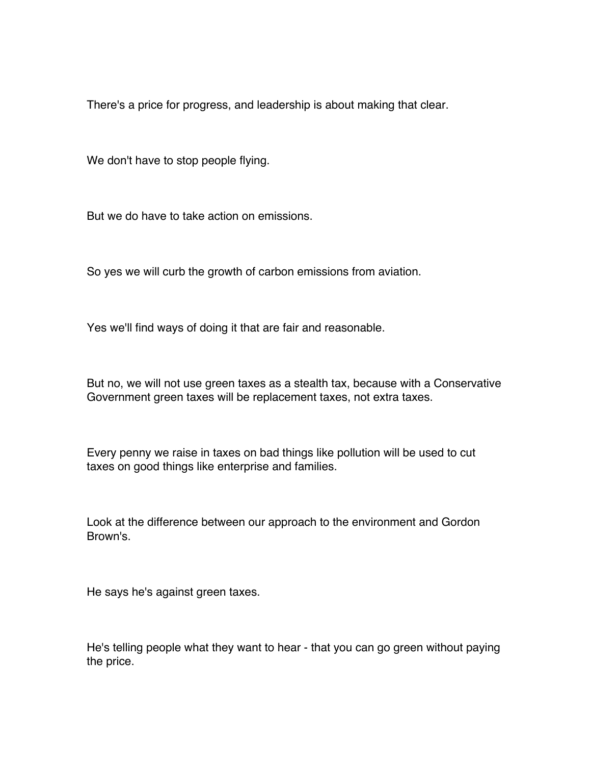There's a price for progress, and leadership is about making that clear.

We don't have to stop people flying.

But we do have to take action on emissions.

So yes we will curb the growth of carbon emissions from aviation.

Yes we'll find ways of doing it that are fair and reasonable.

But no, we will not use green taxes as a stealth tax, because with a Conservative Government green taxes will be replacement taxes, not extra taxes.

Every penny we raise in taxes on bad things like pollution will be used to cut taxes on good things like enterprise and families.

Look at the difference between our approach to the environment and Gordon Brown's.

He says he's against green taxes.

He's telling people what they want to hear - that you can go green without paying the price.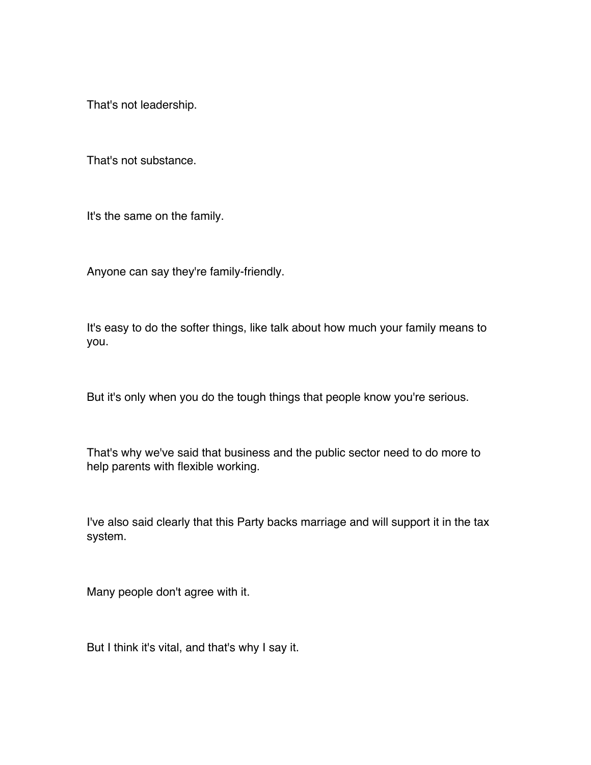That's not leadership.

That's not substance.

It's the same on the family.

Anyone can say they're family-friendly.

It's easy to do the softer things, like talk about how much your family means to you.

But it's only when you do the tough things that people know you're serious.

That's why we've said that business and the public sector need to do more to help parents with flexible working.

I've also said clearly that this Party backs marriage and will support it in the tax system.

Many people don't agree with it.

But I think it's vital, and that's why I say it.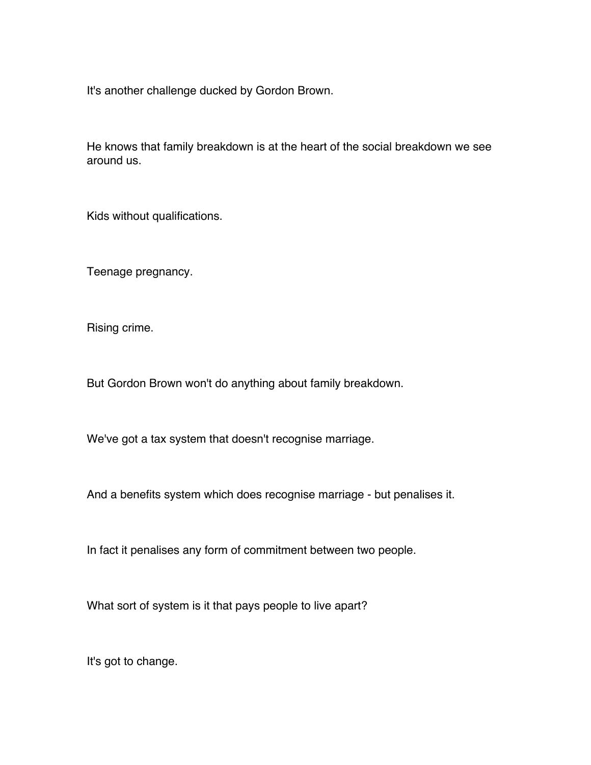It's another challenge ducked by Gordon Brown.

He knows that family breakdown is at the heart of the social breakdown we see around us.

Kids without qualifications.

Teenage pregnancy.

Rising crime.

But Gordon Brown won't do anything about family breakdown.

We've got a tax system that doesn't recognise marriage.

And a benefits system which does recognise marriage - but penalises it.

In fact it penalises any form of commitment between two people.

What sort of system is it that pays people to live apart?

It's got to change.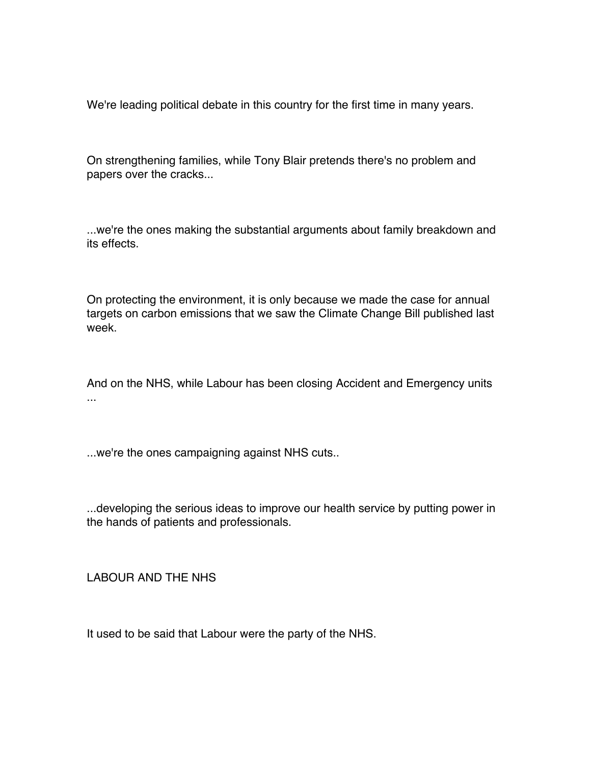We're leading political debate in this country for the first time in many years.

On strengthening families, while Tony Blair pretends there's no problem and papers over the cracks...

...we're the ones making the substantial arguments about family breakdown and its effects.

On protecting the environment, it is only because we made the case for annual targets on carbon emissions that we saw the Climate Change Bill published last week.

And on the NHS, while Labour has been closing Accident and Emergency units ...

...we're the ones campaigning against NHS cuts..

...developing the serious ideas to improve our health service by putting power in the hands of patients and professionals.

LABOUR AND THE NHS

It used to be said that Labour were the party of the NHS.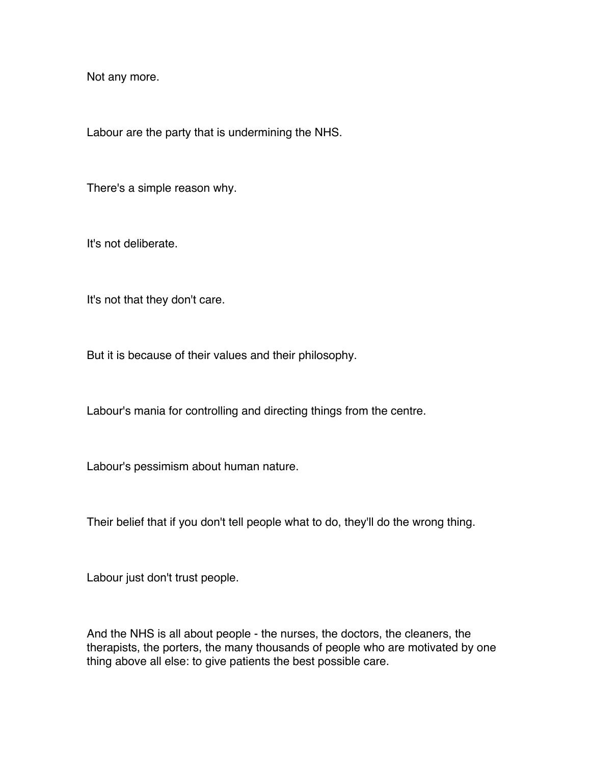Not any more.

Labour are the party that is undermining the NHS.

There's a simple reason why.

It's not deliberate.

It's not that they don't care.

But it is because of their values and their philosophy.

Labour's mania for controlling and directing things from the centre.

Labour's pessimism about human nature.

Their belief that if you don't tell people what to do, they'll do the wrong thing.

Labour just don't trust people.

And the NHS is all about people - the nurses, the doctors, the cleaners, the therapists, the porters, the many thousands of people who are motivated by one thing above all else: to give patients the best possible care.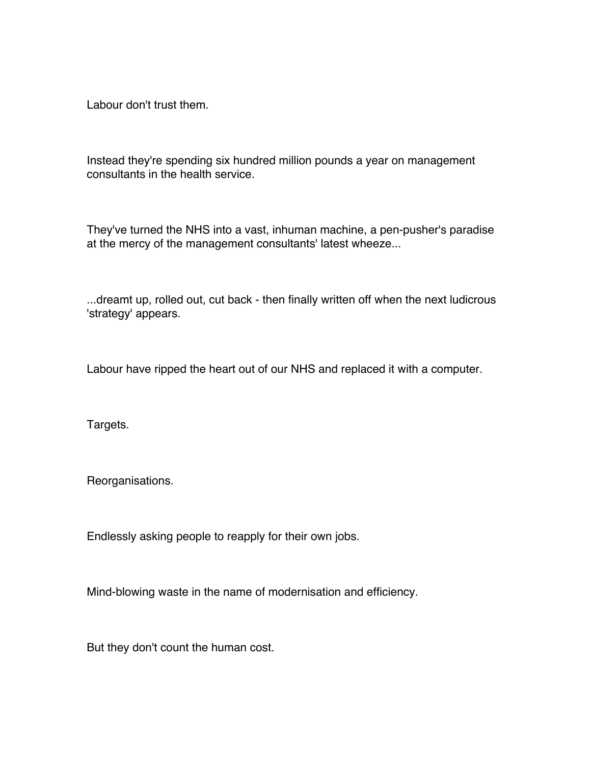Labour don't trust them.

Instead they're spending six hundred million pounds a year on management consultants in the health service.

They've turned the NHS into a vast, inhuman machine, a pen-pusher's paradise at the mercy of the management consultants' latest wheeze...

...dreamt up, rolled out, cut back - then finally written off when the next ludicrous 'strategy' appears.

Labour have ripped the heart out of our NHS and replaced it with a computer.

Targets.

Reorganisations.

Endlessly asking people to reapply for their own jobs.

Mind-blowing waste in the name of modernisation and efficiency.

But they don't count the human cost.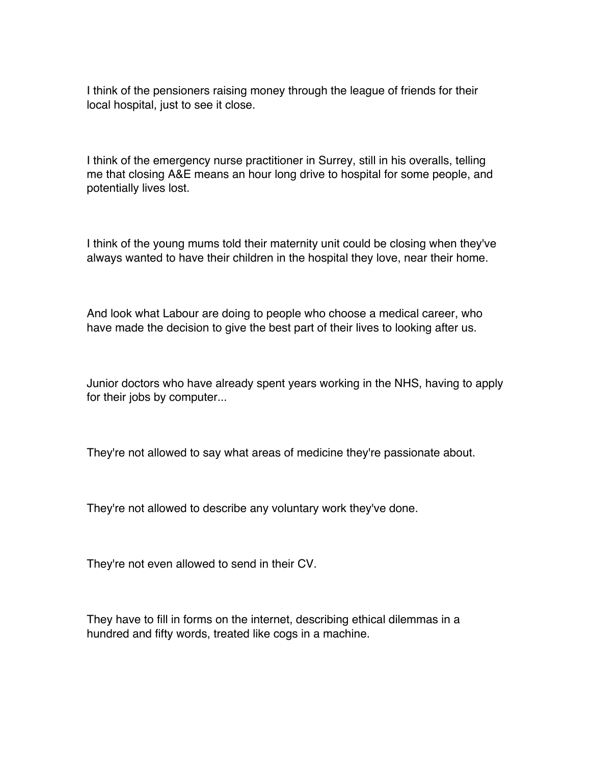I think of the pensioners raising money through the league of friends for their local hospital, just to see it close.

I think of the emergency nurse practitioner in Surrey, still in his overalls, telling me that closing A&E means an hour long drive to hospital for some people, and potentially lives lost.

I think of the young mums told their maternity unit could be closing when they've always wanted to have their children in the hospital they love, near their home.

And look what Labour are doing to people who choose a medical career, who have made the decision to give the best part of their lives to looking after us.

Junior doctors who have already spent years working in the NHS, having to apply for their jobs by computer...

They're not allowed to say what areas of medicine they're passionate about.

They're not allowed to describe any voluntary work they've done.

They're not even allowed to send in their CV.

They have to fill in forms on the internet, describing ethical dilemmas in a hundred and fifty words, treated like cogs in a machine.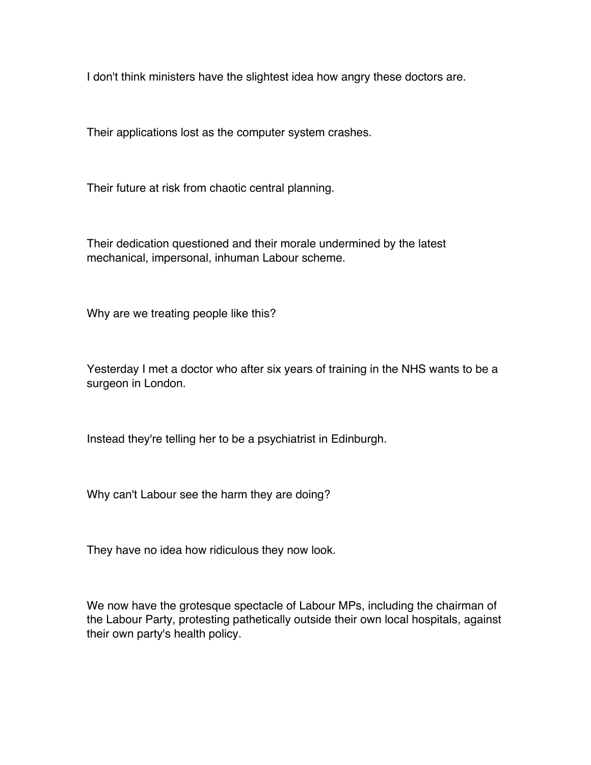I don't think ministers have the slightest idea how angry these doctors are.

Their applications lost as the computer system crashes.

Their future at risk from chaotic central planning.

Their dedication questioned and their morale undermined by the latest mechanical, impersonal, inhuman Labour scheme.

Why are we treating people like this?

Yesterday I met a doctor who after six years of training in the NHS wants to be a surgeon in London.

Instead they're telling her to be a psychiatrist in Edinburgh.

Why can't Labour see the harm they are doing?

They have no idea how ridiculous they now look.

We now have the grotesque spectacle of Labour MPs, including the chairman of the Labour Party, protesting pathetically outside their own local hospitals, against their own party's health policy.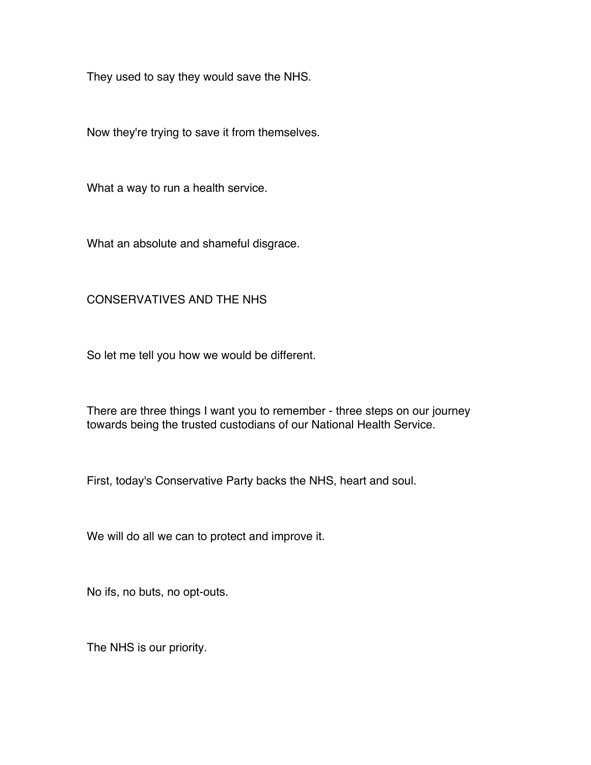They used to say they would save the NHS.

Now they're trying to save it from themselves.

What a way to run a health service.

What an absolute and shameful disgrace.

## CONSERVATIVES AND THE NHS

So let me tell you how we would be different.

There are three things I want you to remember - three steps on our journey towards being the trusted custodians of our National Health Service.

First, today's Conservative Party backs the NHS, heart and soul.

We will do all we can to protect and improve it.

No ifs, no buts, no opt-outs.

The NHS is our priority.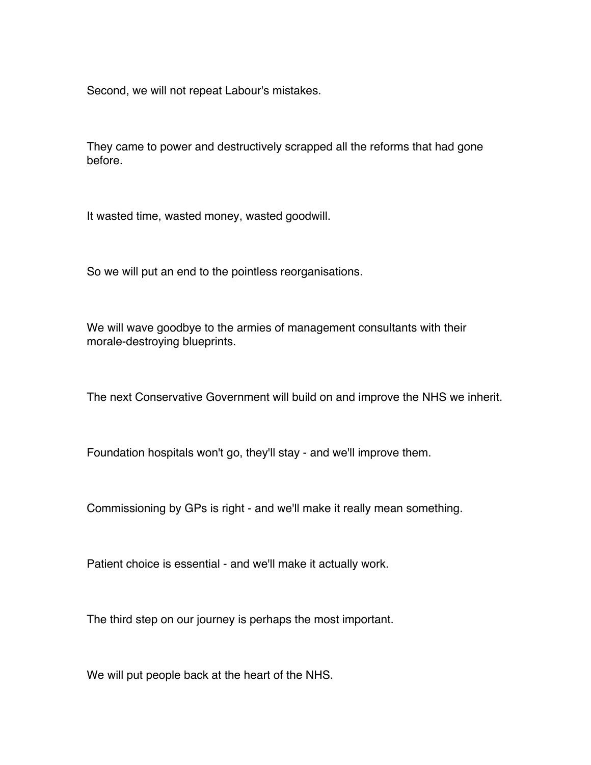Second, we will not repeat Labour's mistakes.

They came to power and destructively scrapped all the reforms that had gone before.

It wasted time, wasted money, wasted goodwill.

So we will put an end to the pointless reorganisations.

We will wave goodbye to the armies of management consultants with their morale-destroying blueprints.

The next Conservative Government will build on and improve the NHS we inherit.

Foundation hospitals won't go, they'll stay - and we'll improve them.

Commissioning by GPs is right - and we'll make it really mean something.

Patient choice is essential - and we'll make it actually work.

The third step on our journey is perhaps the most important.

We will put people back at the heart of the NHS.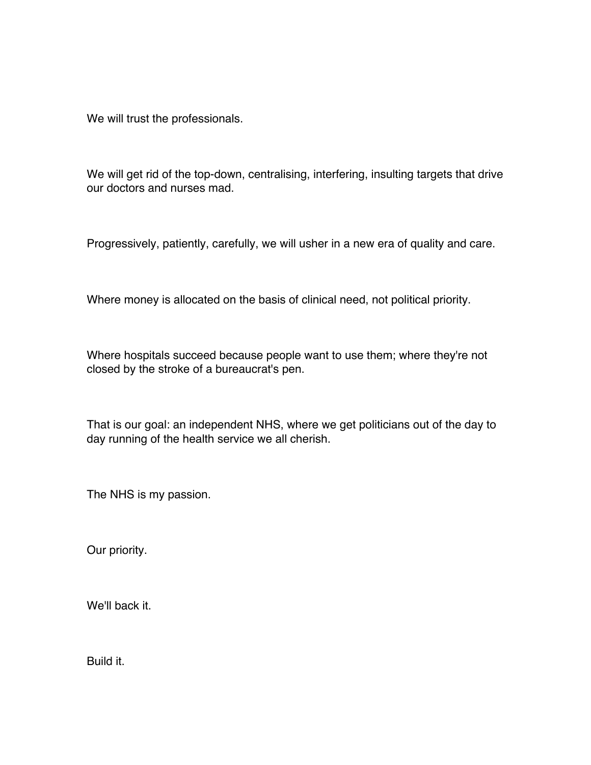We will trust the professionals.

We will get rid of the top-down, centralising, interfering, insulting targets that drive our doctors and nurses mad.

Progressively, patiently, carefully, we will usher in a new era of quality and care.

Where money is allocated on the basis of clinical need, not political priority.

Where hospitals succeed because people want to use them; where they're not closed by the stroke of a bureaucrat's pen.

That is our goal: an independent NHS, where we get politicians out of the day to day running of the health service we all cherish.

The NHS is my passion.

Our priority.

We'll back it.

Build it.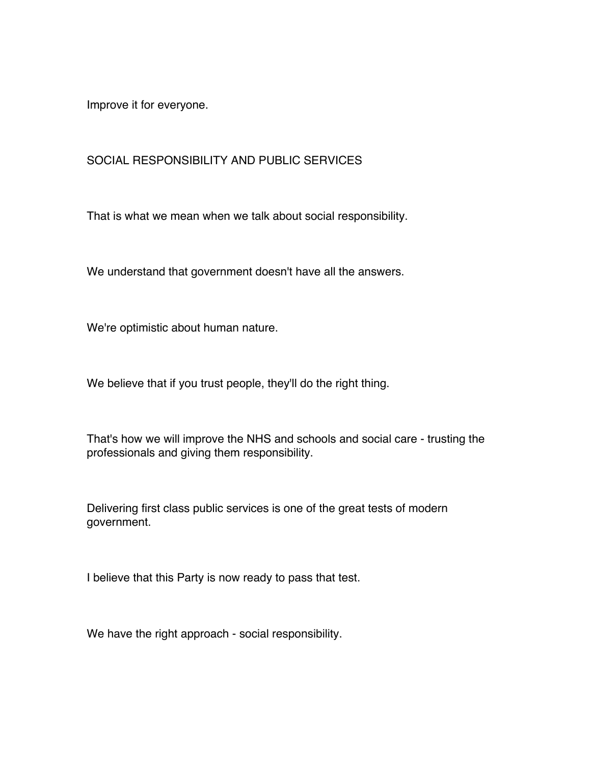Improve it for everyone.

## SOCIAL RESPONSIBILITY AND PUBLIC SERVICES

That is what we mean when we talk about social responsibility.

We understand that government doesn't have all the answers.

We're optimistic about human nature.

We believe that if you trust people, they'll do the right thing.

That's how we will improve the NHS and schools and social care - trusting the professionals and giving them responsibility.

Delivering first class public services is one of the great tests of modern government.

I believe that this Party is now ready to pass that test.

We have the right approach - social responsibility.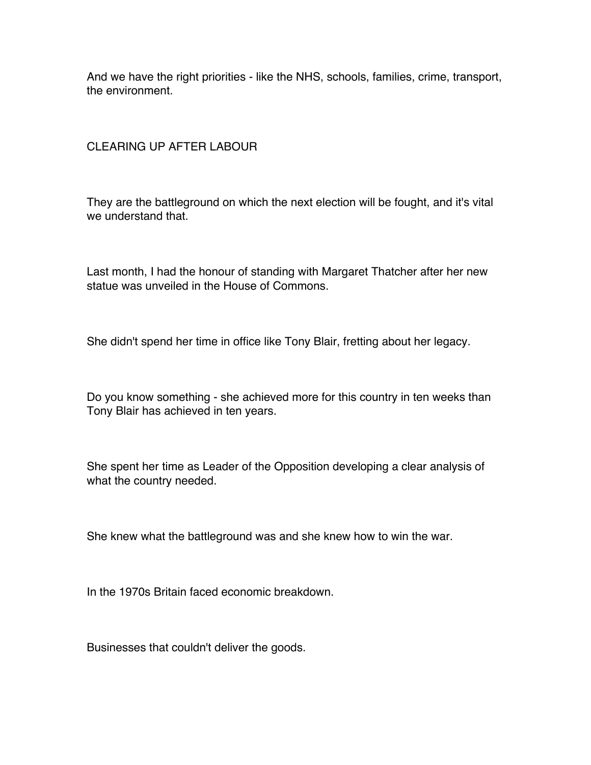And we have the right priorities - like the NHS, schools, families, crime, transport, the environment.

## CLEARING UP AFTER LABOUR

They are the battleground on which the next election will be fought, and it's vital we understand that.

Last month, I had the honour of standing with Margaret Thatcher after her new statue was unveiled in the House of Commons.

She didn't spend her time in office like Tony Blair, fretting about her legacy.

Do you know something - she achieved more for this country in ten weeks than Tony Blair has achieved in ten years.

She spent her time as Leader of the Opposition developing a clear analysis of what the country needed.

She knew what the battleground was and she knew how to win the war.

In the 1970s Britain faced economic breakdown.

Businesses that couldn't deliver the goods.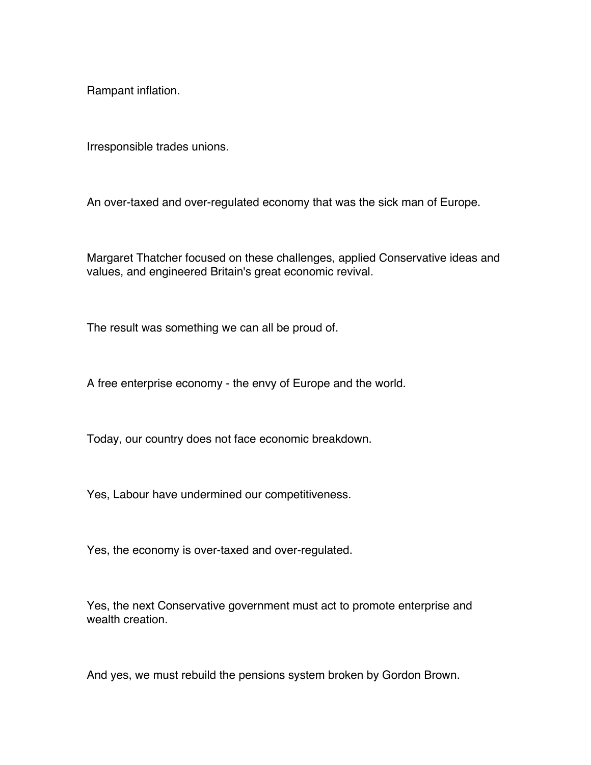Rampant inflation.

Irresponsible trades unions.

An over-taxed and over-regulated economy that was the sick man of Europe.

Margaret Thatcher focused on these challenges, applied Conservative ideas and values, and engineered Britain's great economic revival.

The result was something we can all be proud of.

A free enterprise economy - the envy of Europe and the world.

Today, our country does not face economic breakdown.

Yes, Labour have undermined our competitiveness.

Yes, the economy is over-taxed and over-regulated.

Yes, the next Conservative government must act to promote enterprise and wealth creation.

And yes, we must rebuild the pensions system broken by Gordon Brown.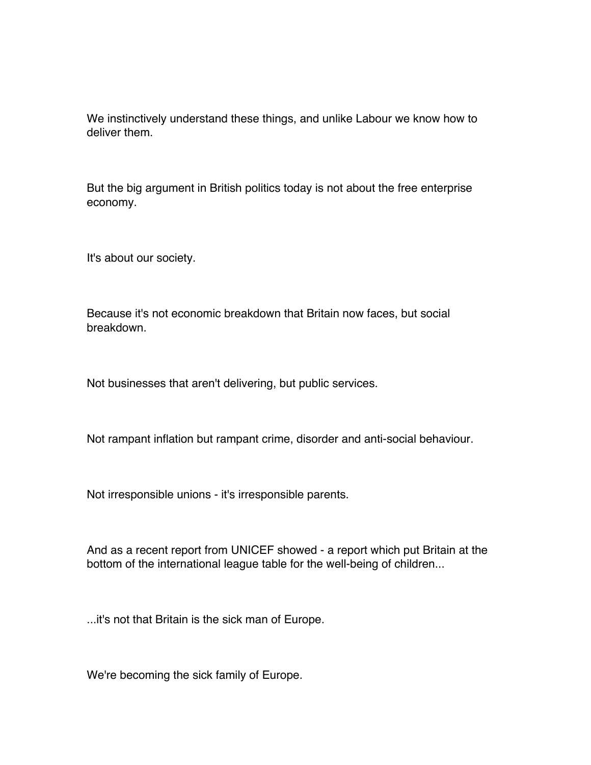We instinctively understand these things, and unlike Labour we know how to deliver them.

But the big argument in British politics today is not about the free enterprise economy.

It's about our society.

Because it's not economic breakdown that Britain now faces, but social breakdown.

Not businesses that aren't delivering, but public services.

Not rampant inflation but rampant crime, disorder and anti-social behaviour.

Not irresponsible unions - it's irresponsible parents.

And as a recent report from UNICEF showed - a report which put Britain at the bottom of the international league table for the well-being of children...

...it's not that Britain is the sick man of Europe.

We're becoming the sick family of Europe.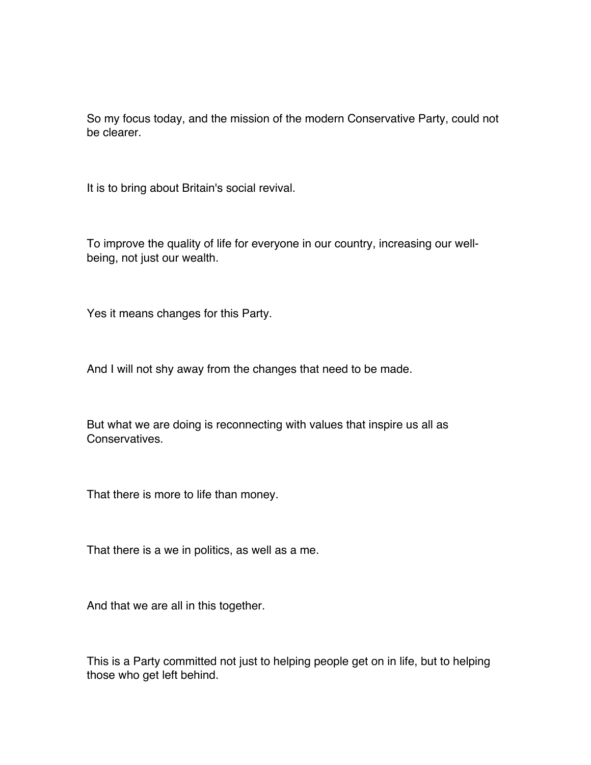So my focus today, and the mission of the modern Conservative Party, could not be clearer.

It is to bring about Britain's social revival.

To improve the quality of life for everyone in our country, increasing our wellbeing, not just our wealth.

Yes it means changes for this Party.

And I will not shy away from the changes that need to be made.

But what we are doing is reconnecting with values that inspire us all as **Conservatives** 

That there is more to life than money.

That there is a we in politics, as well as a me.

And that we are all in this together.

This is a Party committed not just to helping people get on in life, but to helping those who get left behind.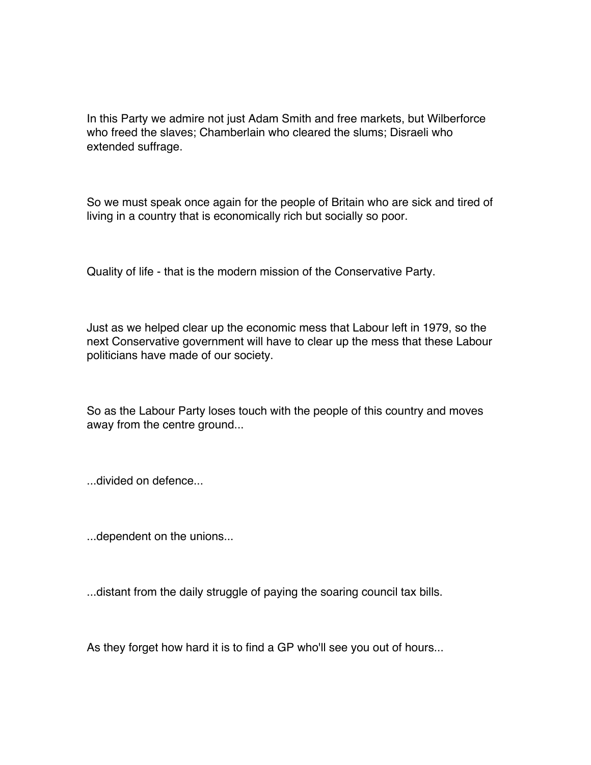In this Party we admire not just Adam Smith and free markets, but Wilberforce who freed the slaves; Chamberlain who cleared the slums; Disraeli who extended suffrage.

So we must speak once again for the people of Britain who are sick and tired of living in a country that is economically rich but socially so poor.

Quality of life - that is the modern mission of the Conservative Party.

Just as we helped clear up the economic mess that Labour left in 1979, so the next Conservative government will have to clear up the mess that these Labour politicians have made of our society.

So as the Labour Party loses touch with the people of this country and moves away from the centre ground...

...divided on defence...

...dependent on the unions...

...distant from the daily struggle of paying the soaring council tax bills.

As they forget how hard it is to find a GP who'll see you out of hours...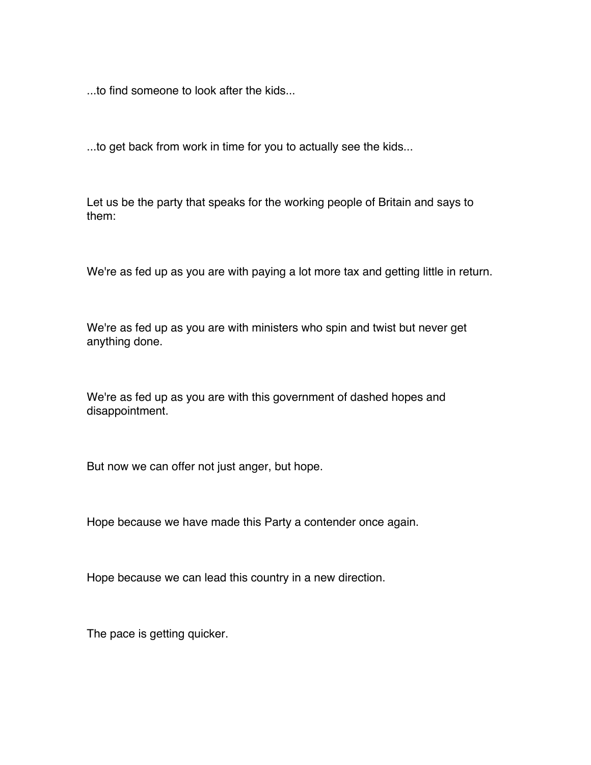...to find someone to look after the kids...

...to get back from work in time for you to actually see the kids...

Let us be the party that speaks for the working people of Britain and says to them:

We're as fed up as you are with paying a lot more tax and getting little in return.

We're as fed up as you are with ministers who spin and twist but never get anything done.

We're as fed up as you are with this government of dashed hopes and disappointment.

But now we can offer not just anger, but hope.

Hope because we have made this Party a contender once again.

Hope because we can lead this country in a new direction.

The pace is getting quicker.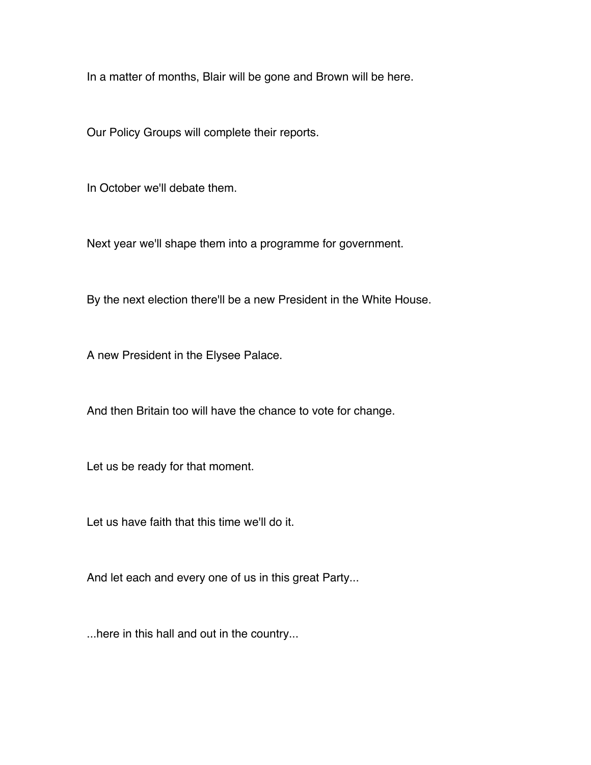In a matter of months, Blair will be gone and Brown will be here.

Our Policy Groups will complete their reports.

In October we'll debate them.

Next year we'll shape them into a programme for government.

By the next election there'll be a new President in the White House.

A new President in the Elysee Palace.

And then Britain too will have the chance to vote for change.

Let us be ready for that moment.

Let us have faith that this time we'll do it.

And let each and every one of us in this great Party...

...here in this hall and out in the country...